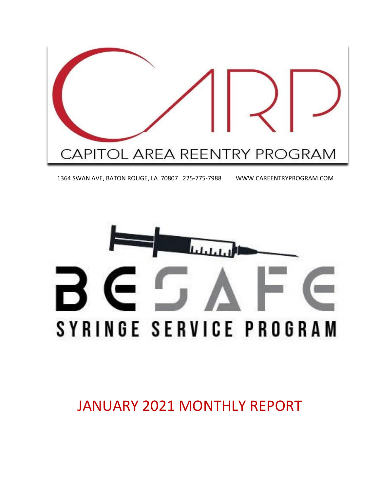

1364 SWAN AVE, BATON ROUGE, LA 70807 225-775-7988 WWW.CAREENTRYPROGRAM.COM



JANUARY 2021 MONTHLY REPORT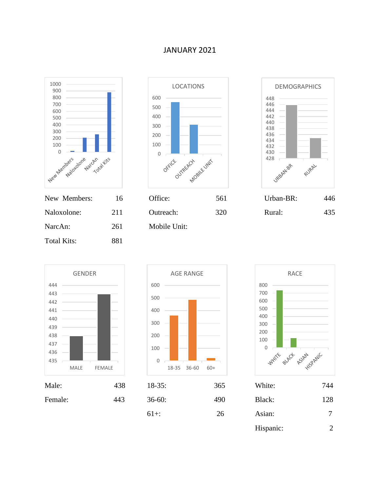## JANUARY 2021



| New Members:       | - 10- | OHICE:       | 501 | Urban-BR: | 440 |
|--------------------|-------|--------------|-----|-----------|-----|
| Naloxolone:        | 211   | Outreach:    | 320 | Rural:    | 435 |
| NarcAn:            | 261   | Mobile Unit: |     |           |     |
| <b>Total Kits:</b> | 881   |              |     |           |     |
|                    |       |              |     |           |     |











| $18-35$ : | 365 | White:    | 744 |
|-----------|-----|-----------|-----|
| $36-60:$  | 490 | Black:    | 128 |
| $61+$ :   | 26  | Asian:    |     |
|           |     | Hispanic: | 2   |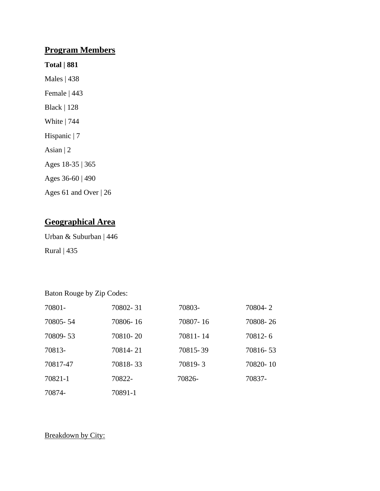## **Program Members**

- **Total | 881**
- Males | 438 Female | 443 Black | 128 White | 744 Hispanic | 7 Asian | 2 Ages 18-35 | 365 Ages 36-60 | 490 Ages 61 and Over | 26
- **Geographical Area**

Urban & Suburban | 446 Rural | 435

Baton Rouge by Zip Codes:

| 70801-   | 70802-31 | 70803-   | 70804-2  |
|----------|----------|----------|----------|
| 70805-54 | 70806-16 | 70807-16 | 70808-26 |
| 70809-53 | 70810-20 | 70811-14 | 70812-6  |
| 70813-   | 70814-21 | 70815-39 | 70816-53 |
| 70817-47 | 70818-33 | 70819-3  | 70820-10 |
| 70821-1  | 70822-   | 70826-   | 70837-   |
| 70874-   | 70891-1  |          |          |

## Breakdown by City: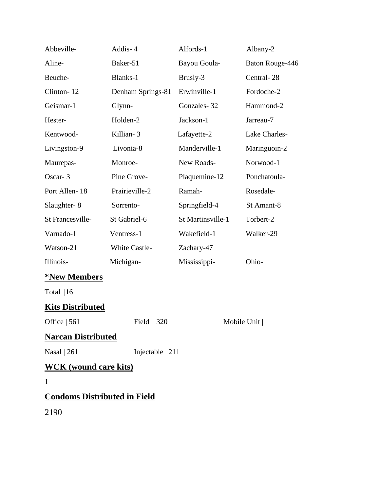| Abbeville-                          | Addis-4           | Alfords-1         | Albany-2        |
|-------------------------------------|-------------------|-------------------|-----------------|
| Aline-                              | Baker-51          | Bayou Goula-      | Baton Rouge-446 |
| Beuche-                             | Blanks-1          | Brusly-3          | Central-28      |
| Clinton-12                          | Denham Springs-81 | Erwinville-1      | Fordoche-2      |
| Geismar-1                           | Glynn-            | Gonzales-32       | Hammond-2       |
| Hester-                             | Holden-2          | Jackson-1         | Jarreau-7       |
| Kentwood-                           | Killian-3         | Lafayette-2       | Lake Charles-   |
| Livingston-9                        | Livonia-8         | Manderville-1     | Maringuoin-2    |
| Maurepas-                           | Monroe-           | New Roads-        | Norwood-1       |
| Oscar-3                             | Pine Grove-       | Plaquemine-12     | Ponchatoula-    |
| Port Allen-18                       | Prairieville-2    | Ramah-            | Rosedale-       |
| Slaughter-8                         | Sorrento-         | Springfield-4     | St Amant-8      |
| St Francesville-                    | St Gabriel-6      | St Martinsville-1 | Torbert-2       |
| Varnado-1                           | Ventress-1        | Wakefield-1       | Walker-29       |
| Watson-21                           | White Castle-     | Zachary-47        |                 |
| Illinois-                           | Michigan-         | Mississippi-      | Ohio-           |
| <b>*New Members</b>                 |                   |                   |                 |
| Total  16                           |                   |                   |                 |
| <b>Kits Distributed</b>             |                   |                   |                 |
| Office   561<br>Field   320         |                   |                   | Mobile Unit     |
| <b>Narcan Distributed</b>           |                   |                   |                 |
| Nasal   261<br>Injectable $ 211$    |                   |                   |                 |
| <b>WCK</b> (wound care kits)        |                   |                   |                 |
| 1                                   |                   |                   |                 |
| <b>Condoms Distributed in Field</b> |                   |                   |                 |
| 2190                                |                   |                   |                 |